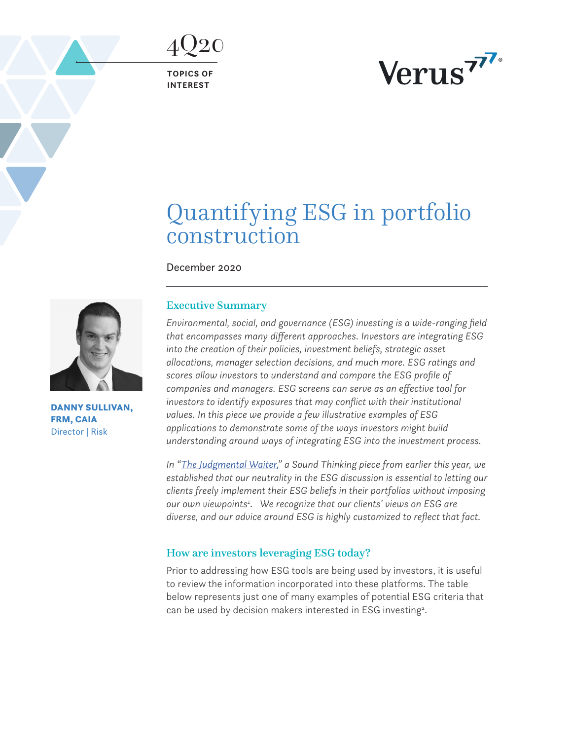**TOPICS OF INTEREST**

<span id="page-0-0"></span>4Q20



# Quantifying ESG in portfolio construction

December 2020



DANNY SULLIVAN, FRM, CAIA Director | Risk

# Executive Summary

*Environmental, social, and governance (ESG) investing is a wide-ranging field that encompasses many different approaches. Investors are integrating ESG into the creation of their policies, investment beliefs, strategic asset allocations, manager selection decisions, and much more. ESG ratings and scores allow investors to understand and compare the ESG profile of companies and managers. ESG screens can serve as an effective tool for investors to identify exposures that may conflict with their institutional values. In this piece we provide a few illustrative examples of ESG applications to demonstrate some of the ways investors might build understanding around ways of integrating ESG into the investment process.* 

*In "[The Judgmental Waiter,](https://www.verusinvestments.com/sound-thinking-the-judgmental-waiter/)" a Sound Thinking piece from earlier this year, we established that our neutrality in the ESG discussion is essential to letting our clients freely implement their ESG beliefs in their portfolios without imposing our own viewpoint[s1](#page-9-0) . We recognize that our clients' views on ESG are diverse, and our advice around ESG is highly customized to reflect that fact.*

# How are investors leveraging ESG today?

Prior to addressing how ESG tools are being used by investors, it is useful to review the information incorporated into these platforms. The table below represents just one of many examples of potential ESG criteria that can be used by decision makers interested in ESG investing<sup>2</sup>.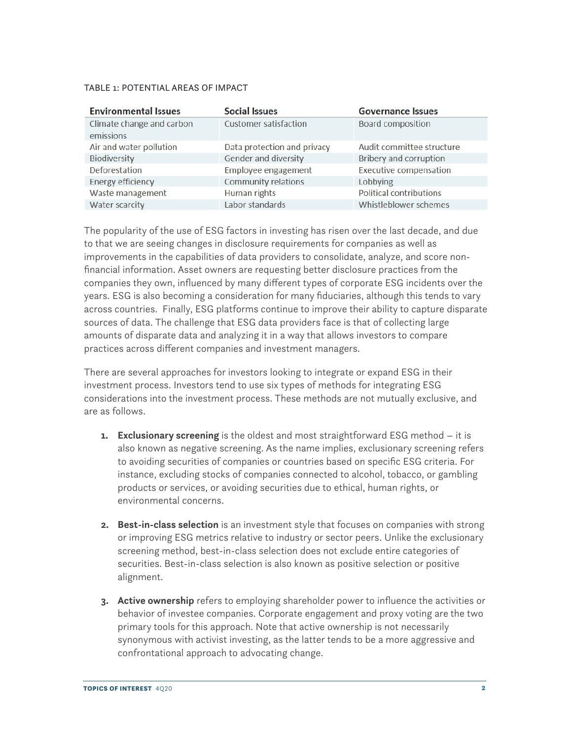#### TABLE 1: POTENTIAL AREAS OF IMPACT

| <b>Environmental Issues</b>            | <b>Social Issues</b>         | <b>Governance Issues</b>       |
|----------------------------------------|------------------------------|--------------------------------|
| Climate change and carbon<br>emissions | <b>Customer satisfaction</b> | <b>Board composition</b>       |
| Air and water pollution                | Data protection and privacy  | Audit committee structure      |
| Biodiversity                           | Gender and diversity         | <b>Bribery and corruption</b>  |
| Deforestation                          | Employee engagement          | <b>Executive compensation</b>  |
| <b>Energy efficiency</b>               | <b>Community relations</b>   | Lobbying                       |
| Waste management                       | Human rights                 | <b>Political contributions</b> |
| Water scarcity                         | Labor standards              | Whistleblower schemes          |

The popularity of the use of ESG factors in investing has risen over the last decade, and due to that we are seeing changes in disclosure requirements for companies as well as improvements in the capabilities of data providers to consolidate, analyze, and score nonfinancial information. Asset owners are requesting better disclosure practices from the companies they own, influenced by many different types of corporate ESG incidents over the years. ESG is also becoming a consideration for many fiduciaries, although this tends to vary across countries. Finally, ESG platforms continue to improve their ability to capture disparate sources of data. The challenge that ESG data providers face is that of collecting large amounts of disparate data and analyzing it in a way that allows investors to compare practices across different companies and investment managers.

There are several approaches for investors looking to integrate or expand ESG in their investment process. Investors tend to use six types of methods for integrating ESG considerations into the investment process. These methods are not mutually exclusive, and are as follows.

- **1. Exclusionary screening** is the oldest and most straightforward ESG method it is also known as negative screening. As the name implies, exclusionary screening refers to avoiding securities of companies or countries based on specific ESG criteria. For instance, excluding stocks of companies connected to alcohol, tobacco, or gambling products or services, or avoiding securities due to ethical, human rights, or environmental concerns.
- **2. Best-in-class selection** is an investment style that focuses on companies with strong or improving ESG metrics relative to industry or sector peers. Unlike the exclusionary screening method, best-in-class selection does not exclude entire categories of securities. Best-in-class selection is also known as positive selection or positive alignment.
- **3. Active ownership** refers to employing shareholder power to influence the activities or behavior of investee companies. Corporate engagement and proxy voting are the two primary tools for this approach. Note that active ownership is not necessarily synonymous with activist investing, as the latter tends to be a more aggressive and confrontational approach to advocating change.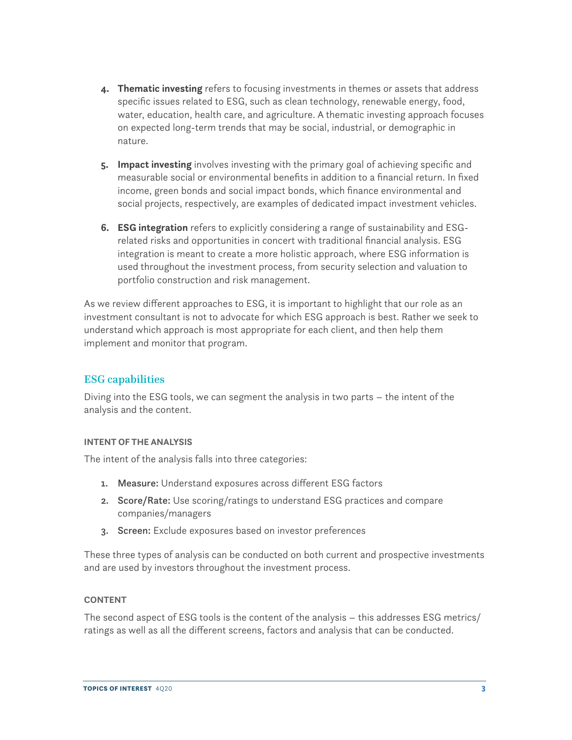- **4. Thematic investing** refers to focusing investments in themes or assets that address specific issues related to ESG, such as clean technology, renewable energy, food, water, education, health care, and agriculture. A thematic investing approach focuses on expected long-term trends that may be social, industrial, or demographic in nature.
- **5. Impact investing** involves investing with the primary goal of achieving specific and measurable social or environmental benefits in addition to a financial return. In fixed income, green bonds and social impact bonds, which finance environmental and social projects, respectively, are examples of dedicated impact investment vehicles.
- **6. ESG integration** refers to explicitly considering a range of sustainability and ESGrelated risks and opportunities in concert with traditional financial analysis. ESG integration is meant to create a more holistic approach, where ESG information is used throughout the investment process, from security selection and valuation to portfolio construction and risk management.

As we review different approaches to ESG, it is important to highlight that our role as an investment consultant is not to advocate for which ESG approach is best. Rather we seek to understand which approach is most appropriate for each client, and then help them implement and monitor that program.

# ESG capabilities

Diving into the ESG tools, we can segment the analysis in two parts – the intent of the analysis and the content.

## **INTENT OF THE ANALYSIS**

The intent of the analysis falls into three categories:

- 1. Measure: Understand exposures across different ESG factors
- 2. Score/Rate: Use scoring/ratings to understand ESG practices and compare companies/managers
- 3. Screen: Exclude exposures based on investor preferences

These three types of analysis can be conducted on both current and prospective investments and are used by investors throughout the investment process.

## **CONTENT**

The second aspect of ESG tools is the content of the analysis – this addresses ESG metrics/ ratings as well as all the different screens, factors and analysis that can be conducted.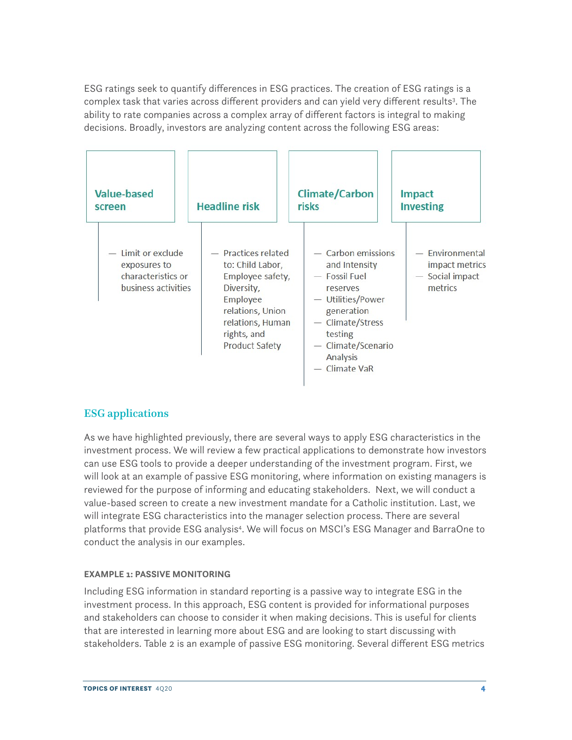<span id="page-3-0"></span>ESG ratings seek to quantify differences in ESG practices. The creation of ESG ratings is a complex task that varies across different providers and can yield very different results<sup>3</sup>. The ability to rate companies across a complex array of different factors is integral to making decisions. Broadly, investors are analyzing content across the following ESG areas:

| Value-based                                                                       | <b>Headline risk</b>                                                                                                                                                  | <b>Climate/Carbon</b>                                                                                                                                                                 | <b>Impact</b>                                                   |
|-----------------------------------------------------------------------------------|-----------------------------------------------------------------------------------------------------------------------------------------------------------------------|---------------------------------------------------------------------------------------------------------------------------------------------------------------------------------------|-----------------------------------------------------------------|
| screen                                                                            |                                                                                                                                                                       | risks                                                                                                                                                                                 | <b>Investing</b>                                                |
| $-$ Limit or exclude<br>exposures to<br>characteristics or<br>business activities | - Practices related<br>to: Child Labor,<br>Employee safety,<br>Diversity,<br>Employee<br>relations, Union<br>relations, Human<br>rights, and<br><b>Product Safety</b> | $-$ Carbon emissions<br>and Intensity<br>- Fossil Fuel<br>reserves<br>- Utilities/Power<br>generation<br>- Climate/Stress<br>testing<br>- Climate/Scenario<br>Analysis<br>Climate VaR | - Environmental<br>impact metrics<br>- Social impact<br>metrics |

# ESG applications

As we have highlighted previously, there are several ways to apply ESG characteristics in the investment process. We will review a few practical applications to demonstrate how investors can use ESG tools to provide a deeper understanding of the investment program. First, we will look at an example of passive ESG monitoring, where information on existing managers is reviewed for the purpose of informing and educating stakeholders. Next, we will conduct a value-based screen to create a new investment mandate for a Catholic institution. Last, we will integrate ESG characteristics into the manager selection process. There are several platforms that provide ESG analysi[s4](#page-9-0) . We will focus on MSCI's ESG Manager and BarraOne to conduct the analysis in our examples.

## **EXAMPLE 1: PASSIVE MONITORING**

Including ESG information in standard reporting is a passive way to integrate ESG in the investment process. In this approach, ESG content is provided for informational purposes and stakeholders can choose to consider it when making decisions. This is useful for clients that are interested in learning more about ESG and are looking to start discussing with stakeholders. Table 2 is an example of passive ESG monitoring. Several different ESG metrics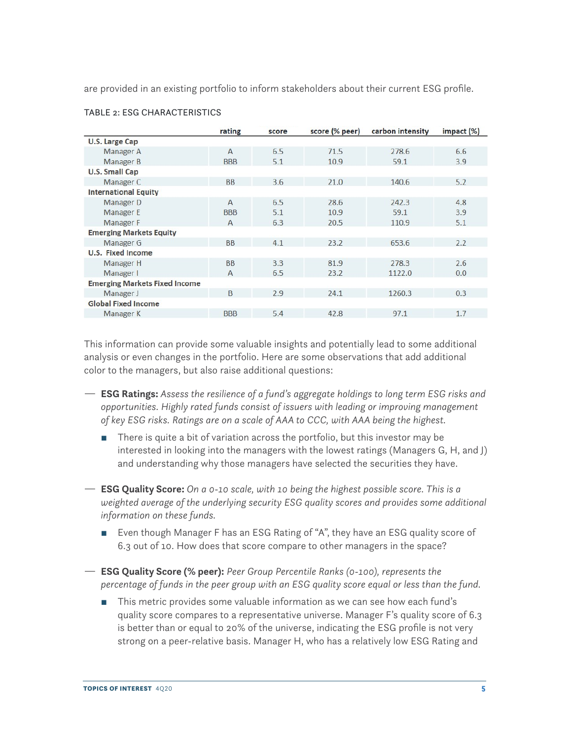are provided in an existing portfolio to inform stakeholders about their current ESG profile.

|                                      | rating         | score | score (% peer) | carbon intensity | impact $(\%)$ |
|--------------------------------------|----------------|-------|----------------|------------------|---------------|
| <b>U.S. Large Cap</b>                |                |       |                |                  |               |
| Manager A                            | $\mathsf{A}$   | 6.5   | 71.5           | 278.6            | 6.6           |
| Manager B                            | <b>BBB</b>     | 5.1   | 10.9           | 59.1             | 3.9           |
| <b>U.S. Small Cap</b>                |                |       |                |                  |               |
| Manager C                            | <b>BB</b>      | 3.6   | 21.0           | 140.6            | 5.2           |
| <b>International Equity</b>          |                |       |                |                  |               |
| Manager D                            | $\overline{A}$ | 6.5   | 28.6           | 242.3            | 4.8           |
| <b>Manager E</b>                     | <b>BBB</b>     | 5.1   | 10.9           | 59.1             | 3.9           |
| Manager F                            | A              | 6.3   | 20.5           | 110.9            | 5.1           |
| <b>Emerging Markets Equity</b>       |                |       |                |                  |               |
| Manager G                            | <b>BB</b>      | 4.1   | 23.2           | 653.6            | 2.2           |
| <b>U.S. Fixed Income</b>             |                |       |                |                  |               |
| Manager H                            | <b>BB</b>      | 3.3   | 81.9           | 278.3            | 2.6           |
| Manager I                            | $\mathsf{A}$   | 6.5   | 23.2           | 1122.0           | 0.0           |
| <b>Emerging Markets Fixed Income</b> |                |       |                |                  |               |
| Manager J                            | B              | 2.9   | 24.1           | 1260.3           | 0.3           |
| <b>Global Fixed Income</b>           |                |       |                |                  |               |
| Manager K                            | <b>BBB</b>     | 5.4   | 42.8           | 97.1             | 1.7           |

#### TABLE 2: ESG CHARACTERISTICS

This information can provide some valuable insights and potentially lead to some additional analysis or even changes in the portfolio. Here are some observations that add additional color to the managers, but also raise additional questions:

- ª **ESG Ratings:** *Assess the resilience of a fund's aggregate holdings to long term ESG risks and opportunities. Highly rated funds consist of issuers with leading or improving management of key ESG risks. Ratings are on a scale of AAA to CCC, with AAA being the highest.* 
	- There is quite a bit of variation across the portfolio, but this investor may be interested in looking into the managers with the lowest ratings (Managers G, H, and J) and understanding why those managers have selected the securities they have.
- ª **ESG Quality Score:** *On a 0-10 scale, with 10 being the highest possible score. This is a*  weighted average of the underlying security ESG quality scores and provides some additional *information on these funds.* 
	- Even though Manager F has an ESG Rating of "A", they have an ESG quality score of 6.3 out of 10. How does that score compare to other managers in the space?
- ª **ESG Quality Score (% peer):** *Peer Group Percentile Ranks (0-100), represents the percentage of funds in the peer group with an ESG quality score equal or less than the fund.* 
	- This metric provides some valuable information as we can see how each fund's quality score compares to a representative universe. Manager F's quality score of 6.3 is better than or equal to 20% of the universe, indicating the ESG profile is not very strong on a peer-relative basis. Manager H, who has a relatively low ESG Rating and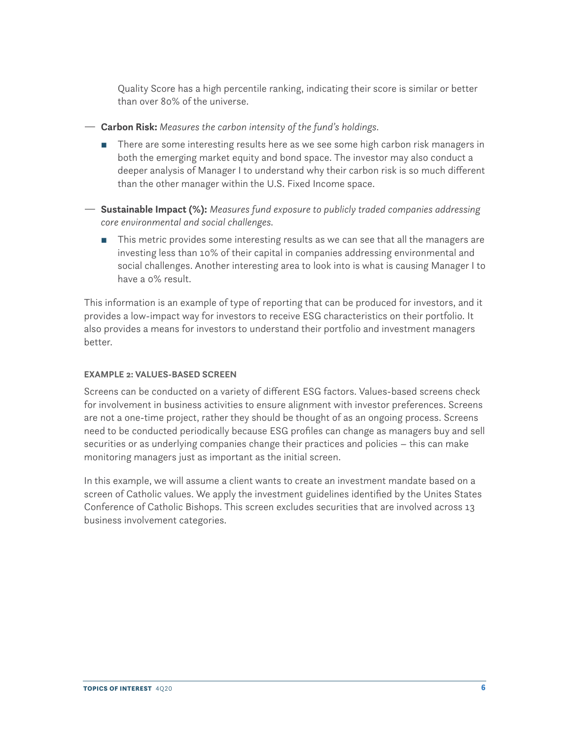Quality Score has a high percentile ranking, indicating their score is similar or better than over 80% of the universe.

- ª **Carbon Risk:** *Measures the carbon intensity of the fund's holdings.* 
	- There are some interesting results here as we see some high carbon risk managers in both the emerging market equity and bond space. The investor may also conduct a deeper analysis of Manager I to understand why their carbon risk is so much different than the other manager within the U.S. Fixed Income space.
- ª **Sustainable Impact (%):** *Measures fund exposure to publicly traded companies addressing core environmental and social challenges.* 
	- This metric provides some interesting results as we can see that all the managers are investing less than 10% of their capital in companies addressing environmental and social challenges. Another interesting area to look into is what is causing Manager I to have a 0% result.

This information is an example of type of reporting that can be produced for investors, and it provides a low-impact way for investors to receive ESG characteristics on their portfolio. It also provides a means for investors to understand their portfolio and investment managers better.

## **EXAMPLE 2: VALUES-BASED SCREEN**

Screens can be conducted on a variety of different ESG factors. Values-based screens check for involvement in business activities to ensure alignment with investor preferences. Screens are not a one-time project, rather they should be thought of as an ongoing process. Screens need to be conducted periodically because ESG profiles can change as managers buy and sell securities or as underlying companies change their practices and policies – this can make monitoring managers just as important as the initial screen.

In this example, we will assume a client wants to create an investment mandate based on a screen of Catholic values. We apply the investment guidelines identified by the Unites States Conference of Catholic Bishops. This screen excludes securities that are involved across 13 business involvement categories.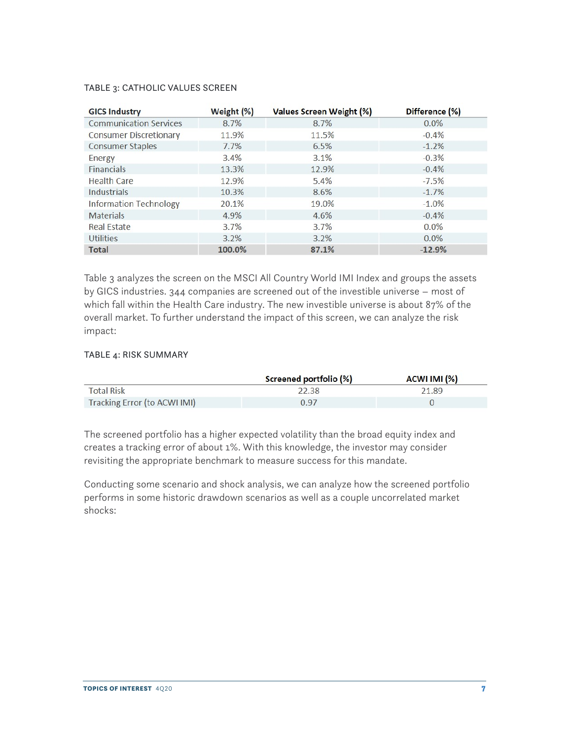#### TABLE 3: CATHOLIC VALUES SCREEN

| <b>GICS Industry</b>          | Weight (%) | <b>Values Screen Weight (%)</b> | Difference (%) |
|-------------------------------|------------|---------------------------------|----------------|
| <b>Communication Services</b> | 8.7%       | 8.7%                            | $0.0\%$        |
| <b>Consumer Discretionary</b> | 11.9%      | 11.5%                           | $-0.4%$        |
| <b>Consumer Staples</b>       | 7.7%       | 6.5%                            | $-1.2%$        |
| Energy                        | 3.4%       | 3.1%                            | $-0.3%$        |
| <b>Financials</b>             | 13.3%      | 12.9%                           | $-0.4%$        |
| Health Care                   | 12.9%      | 5.4%                            | $-7.5%$        |
| <b>Industrials</b>            | 10.3%      | 8.6%                            | $-1.7%$        |
| Information Technology        | 20.1%      | 19.0%                           | $-1.0%$        |
| <b>Materials</b>              | 4.9%       | 4.6%                            | $-0.4%$        |
| Real Estate                   | 3.7%       | 3.7%                            | $0.0\%$        |
| Utilities                     | 3.2%       | 3.2%                            | $0.0\%$        |
| <b>Total</b>                  | 100.0%     | 87.1%                           | $-12.9%$       |

Table 3 analyzes the screen on the MSCI All Country World IMI Index and groups the assets by GICS industries. 344 companies are screened out of the investible universe – most of which fall within the Health Care industry. The new investible universe is about 87% of the overall market. To further understand the impact of this screen, we can analyze the risk impact:

# TABLE 4: RISK SUMMARY

|                              | Screened portfolio (%) | ACWI IMI (%) |
|------------------------------|------------------------|--------------|
| <b>Total Risk</b>            | 22.38                  | 21.89        |
| Tracking Error (to ACWI IMI) | 0.97                   |              |

The screened portfolio has a higher expected volatility than the broad equity index and creates a tracking error of about 1%. With this knowledge, the investor may consider revisiting the appropriate benchmark to measure success for this mandate.

Conducting some scenario and shock analysis, we can analyze how the screened portfolio performs in some historic drawdown scenarios as well as a couple uncorrelated market shocks: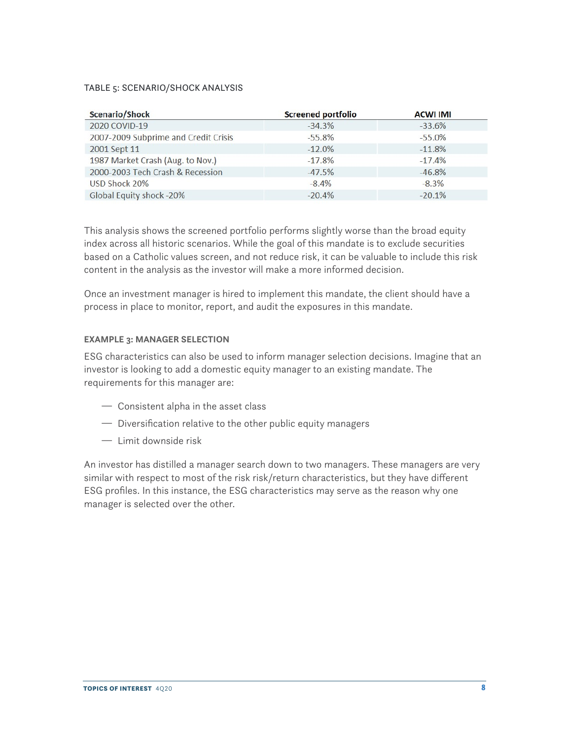#### TABLE 5: SCENARIO/SHOCK ANALYSIS

| Scenario/Shock                       | <b>Screened portfolio</b> | <b>ACWI IMI</b> |
|--------------------------------------|---------------------------|-----------------|
| 2020 COVID-19                        | $-34.3%$                  | $-33.6%$        |
| 2007-2009 Subprime and Credit Crisis | $-55.8%$                  | $-55.0%$        |
| 2001 Sept 11                         | $-12.0%$                  | $-11.8%$        |
| 1987 Market Crash (Aug. to Nov.)     | $-17.8%$                  | $-17.4%$        |
| 2000-2003 Tech Crash & Recession     | $-47.5%$                  | $-46.8%$        |
| USD Shock 20%                        | $-8.4%$                   | $-8.3%$         |
| Global Equity shock -20%             | $-20.4%$                  | $-20.1%$        |

This analysis shows the screened portfolio performs slightly worse than the broad equity index across all historic scenarios. While the goal of this mandate is to exclude securities based on a Catholic values screen, and not reduce risk, it can be valuable to include this risk content in the analysis as the investor will make a more informed decision.

Once an investment manager is hired to implement this mandate, the client should have a process in place to monitor, report, and audit the exposures in this mandate.

# **EXAMPLE 3: MANAGER SELECTION**

ESG characteristics can also be used to inform manager selection decisions. Imagine that an investor is looking to add a domestic equity manager to an existing mandate. The requirements for this manager are:

- $-$  Consistent alpha in the asset class
- $-$  Diversification relative to the other public equity managers
- $-$  Limit downside risk

An investor has distilled a manager search down to two managers. These managers are very similar with respect to most of the risk risk/return characteristics, but they have different ESG profiles. In this instance, the ESG characteristics may serve as the reason why one manager is selected over the other.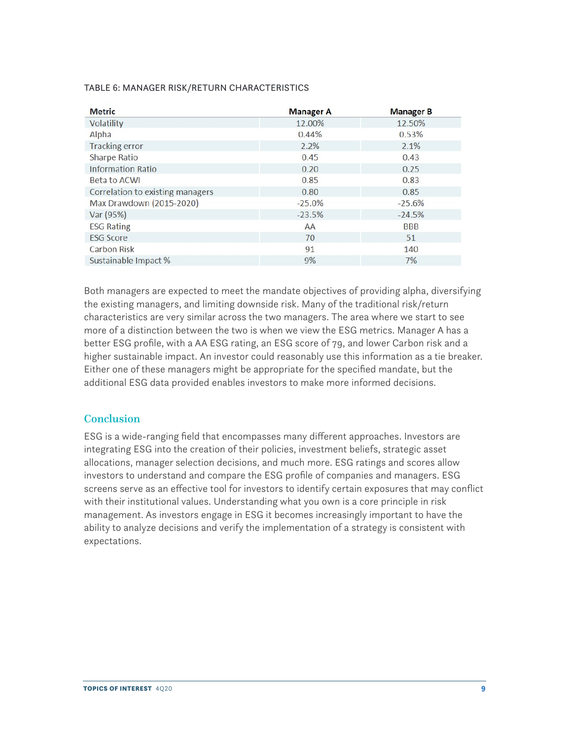#### TABLE 6: MANAGER RISK/RETURN CHARACTERISTICS

| <b>Metric</b>                    | <b>Manager A</b> | <b>Manager B</b> |
|----------------------------------|------------------|------------------|
| Volatility                       | 12.00%           | 12.50%           |
| Alpha                            | 0.44%            | 0.53%            |
| <b>Tracking error</b>            | 2.2%             | 2.1%             |
| <b>Sharpe Ratio</b>              | 0.45             | 0.43             |
| Information Ratio                | 0.20             | 0.25             |
| Beta to ACWI                     | 0.85             | 0.83             |
| Correlation to existing managers | 0.80             | 0.85             |
| Max Drawdown (2015-2020)         | $-25.0%$         | $-25.6%$         |
| Var (95%)                        | $-23.5%$         | $-24.5%$         |
| <b>ESG Rating</b>                | AA               | <b>BBB</b>       |
| <b>ESG Score</b>                 | 70               | 51               |
| <b>Carbon Risk</b>               | 91               | 140              |
| Sustainable Impact %             | 9%               | 7%               |

Both managers are expected to meet the mandate objectives of providing alpha, diversifying the existing managers, and limiting downside risk. Many of the traditional risk/return characteristics are very similar across the two managers. The area where we start to see more of a distinction between the two is when we view the ESG metrics. Manager A has a better ESG profile, with a AA ESG rating, an ESG score of 79, and lower Carbon risk and a higher sustainable impact. An investor could reasonably use this information as a tie breaker. Either one of these managers might be appropriate for the specified mandate, but the additional ESG data provided enables investors to make more informed decisions.

# **Conclusion**

ESG is a wide-ranging field that encompasses many different approaches. Investors are integrating ESG into the creation of their policies, investment beliefs, strategic asset allocations, manager selection decisions, and much more. ESG ratings and scores allow investors to understand and compare the ESG profile of companies and managers. ESG screens serve as an effective tool for investors to identify certain exposures that may conflict with their institutional values. Understanding what you own is a core principle in risk management. As investors engage in ESG it becomes increasingly important to have the ability to analyze decisions and verify the implementation of a strategy is consistent with expectations.